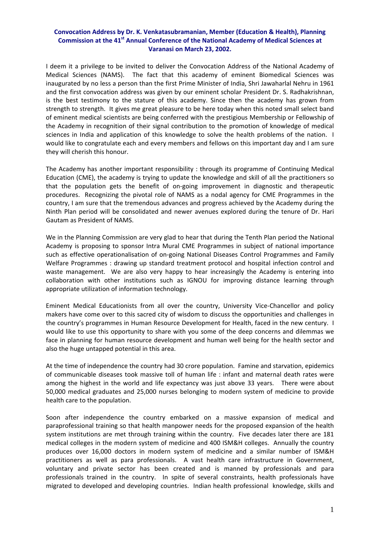## **Convocation Address by Dr. K. Venkatasubramanian, Member (Education & Health), Planning Commission at the 41st Annual Conference of the National Academy of Medical Sciences at Varanasi on March 23, 2002.**

I deem it a privilege to be invited to deliver the Convocation Address of the National Academy of Medical Sciences (NAMS). The fact that this academy of eminent Biomedical Sciences was inaugurated by no less a person than the first Prime Minister of India, Shri Jawaharlal Nehru in 1961 and the first convocation address was given by our eminent scholar President Dr. S. Radhakrishnan, is the best testimony to the stature of this academy. Since then the academy has grown from strength to strength. It gives me great pleasure to be here today when this noted small select band of eminent medical scientists are being conferred with the prestigious Membership or Fellowship of the Academy in recognition of their signal contribution to the promotion of knowledge of medical sciences in India and application of this knowledge to solve the health problems of the nation. I would like to congratulate each and every members and fellows on this important day and I am sure they will cherish this honour.

The Academy has another important responsibility : through its programme of Continuing Medical Education (CME), the academy is trying to update the knowledge and skill of all the practitioners so that the population gets the benefit of on‐going improvement in diagnostic and therapeutic procedures. Recognizing the pivotal role of NAMS as a nodal agency for CME Programmes in the country, I am sure that the tremendous advances and progress achieved by the Academy during the Ninth Plan period will be consolidated and newer avenues explored during the tenure of Dr. Hari Gautam as President of NAMS.

We in the Planning Commission are very glad to hear that during the Tenth Plan period the National Academy is proposing to sponsor Intra Mural CME Programmes in subject of national importance such as effective operationalisation of on-going National Diseases Control Programmes and Family Welfare Programmes : drawing up standard treatment protocol and hospital infection control and waste management. We are also very happy to hear increasingly the Academy is entering into collaboration with other institutions such as IGNOU for improving distance learning through appropriate utilization of information technology.

Eminent Medical Educationists from all over the country, University Vice‐Chancellor and policy makers have come over to this sacred city of wisdom to discuss the opportunities and challenges in the country's programmes in Human Resource Development for Health, faced in the new century. I would like to use this opportunity to share with you some of the deep concerns and dilemmas we face in planning for human resource development and human well being for the health sector and also the huge untapped potential in this area.

At the time of independence the country had 30 crore population. Famine and starvation, epidemics of communicable diseases took massive toll of human life : infant and maternal death rates were among the highest in the world and life expectancy was just above 33 years. There were about 50,000 medical graduates and 25,000 nurses belonging to modern system of medicine to provide health care to the population.

Soon after independence the country embarked on a massive expansion of medical and paraprofessional training so that health manpower needs for the proposed expansion of the health system institutions are met through training within the country. Five decades later there are 181 medical colleges in the modern system of medicine and 400 ISM&H colleges. Annually the country produces over 16,000 doctors in modern system of medicine and a similar number of ISM&H practitioners as well as para professionals. A vast health care infrastructure in Government, voluntary and private sector has been created and is manned by professionals and para professionals trained in the country. In spite of several constraints, health professionals have migrated to developed and developing countries. Indian health professional knowledge, skills and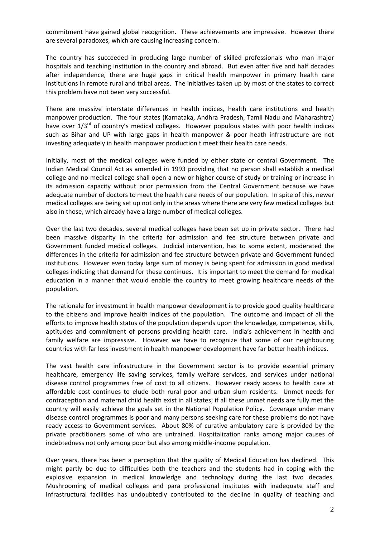commitment have gained global recognition. These achievements are impressive. However there are several paradoxes, which are causing increasing concern.

The country has succeeded in producing large number of skilled professionals who man major hospitals and teaching institution in the country and abroad. But even after five and half decades after independence, there are huge gaps in critical health manpower in primary health care institutions in remote rural and tribal areas. The initiatives taken up by most of the states to correct this problem have not been very successful.

There are massive interstate differences in health indices, health care institutions and health manpower production. The four states (Karnataka, Andhra Pradesh, Tamil Nadu and Maharashtra) have over  $1/3^{rd}$  of country's medical colleges. However populous states with poor health indices such as Bihar and UP with large gaps in health manpower & poor heath infrastructure are not investing adequately in health manpower production t meet their health care needs.

Initially, most of the medical colleges were funded by either state or central Government. The Indian Medical Council Act as amended in 1993 providing that no person shall establish a medical college and no medical college shall open a new or higher course of study or training or increase in its admission capacity without prior permission from the Central Government because we have adequate number of doctors to meet the health care needs of our population. In spite of this, newer medical colleges are being set up not only in the areas where there are very few medical colleges but also in those, which already have a large number of medical colleges.

Over the last two decades, several medical colleges have been set up in private sector. There had been massive disparity in the criteria for admission and fee structure between private and Government funded medical colleges. Judicial intervention, has to some extent, moderated the differences in the criteria for admission and fee structure between private and Government funded institutions. However even today large sum of money is being spent for admission in good medical colleges indicting that demand for these continues. It is important to meet the demand for medical education in a manner that would enable the country to meet growing healthcare needs of the population.

The rationale for investment in health manpower development is to provide good quality healthcare to the citizens and improve health indices of the population. The outcome and impact of all the efforts to improve health status of the population depends upon the knowledge, competence, skills, aptitudes and commitment of persons providing health care. India's achievement in health and family welfare are impressive. However we have to recognize that some of our neighbouring countries with far less investment in health manpower development have far better health indices.

The vast health care infrastructure in the Government sector is to provide essential primary healthcare, emergency life saving services, family welfare services, and services under national disease control programmes free of cost to all citizens. However ready access to health care at affordable cost continues to elude both rural poor and urban slum residents. Unmet needs for contraception and maternal child health exist in all states; if all these unmet needs are fully met the country will easily achieve the goals set in the National Population Policy. Coverage under many disease control programmes is poor and many persons seeking care for these problems do not have ready access to Government services. About 80% of curative ambulatory care is provided by the private practitioners some of who are untrained. Hospitalization ranks among major causes of indebtedness not only among poor but also among middle‐income population.

Over years, there has been a perception that the quality of Medical Education has declined. This might partly be due to difficulties both the teachers and the students had in coping with the explosive expansion in medical knowledge and technology during the last two decades. Mushrooming of medical colleges and para professional institutes with inadequate staff and infrastructural facilities has undoubtedly contributed to the decline in quality of teaching and